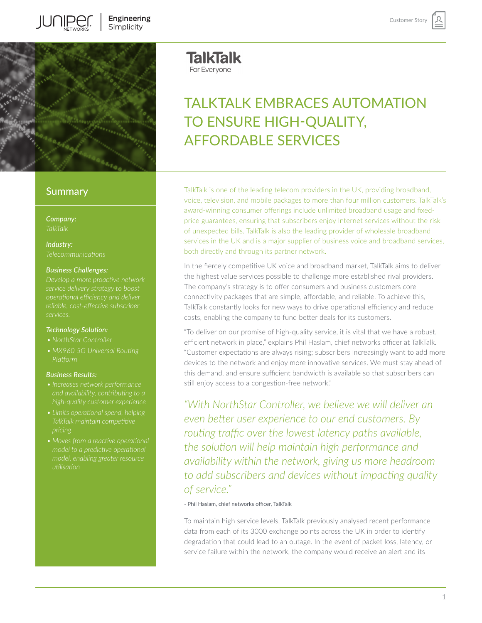

# **Summary**

*Company:*

*Industry:*

### *Business Challenges:*

*Develop a more proactive network operational efficiency and deliver services.* 

#### *Technology Solution:*

- 
- *Platform*

### *Business Results:*

- *• Increases network performance and availability, contributing to a*
- *• Limits operational spend, helping TalkTalk maintain competitive*
- *model, enabling greater resource*

**TalkTalk** For Everyone

# TAI KTAI K EMBRACES AUTOMATION TO ENSURE HIGH-QUALITY, AFFORDABLE SERVICES

Customer Stor

TalkTalk is one of the leading telecom providers in the UK, providing broadband, voice, television, and mobile packages to more than four million customers. TalkTalk's award-winning consumer offerings include unlimited broadband usage and fixedprice guarantees, ensuring that subscribers enjoy Internet services without the risk of unexpected bills. TalkTalk is also the leading provider of wholesale broadband services in the UK and is a major supplier of business voice and broadband services, both directly and through its partner network.

In the fiercely competitive UK voice and broadband market, TalkTalk aims to deliver the highest value services possible to challenge more established rival providers. The company's strategy is to offer consumers and business customers core connectivity packages that are simple, affordable, and reliable. To achieve this, TalkTalk constantly looks for new ways to drive operational efficiency and reduce costs, enabling the company to fund better deals for its customers.

"To deliver on our promise of high-quality service, it is vital that we have a robust, efficient network in place," explains Phil Haslam, chief networks officer at TalkTalk. "Customer expectations are always rising; subscribers increasingly want to add more devices to the network and enjoy more innovative services. We must stay ahead of this demand, and ensure sufficient bandwidth is available so that subscribers can still enjoy access to a congestion-free network."

*"With NorthStar Controller, we believe we will deliver an even better user experience to our end customers. By routing traffic over the lowest latency paths available, the solution will help maintain high performance and availability within the network, giving us more headroom to add subscribers and devices without impacting quality of service."* 

#### - Phil Haslam, chief networks officer, TalkTalk

To maintain high service levels, TalkTalk previously analysed recent performance data from each of its 3000 exchange points across the UK in order to identify degradation that could lead to an outage. In the event of packet loss, latency, or service failure within the network, the company would receive an alert and its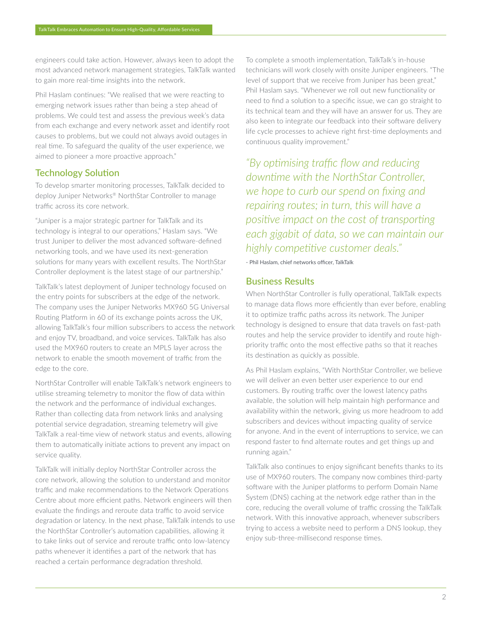engineers could take action. However, always keen to adopt the most advanced network management strategies, TalkTalk wanted to gain more real-time insights into the network.

Phil Haslam continues: "We realised that we were reacting to emerging network issues rather than being a step ahead of problems. We could test and assess the previous week's data from each exchange and every network asset and identify root causes to problems, but we could not always avoid outages in real time. To safeguard the quality of the user experience, we aimed to pioneer a more proactive approach."

## Technology Solution

To develop smarter monitoring processes, TalkTalk decided to deploy Juniper Networks® NorthStar Controller to manage traffic across its core network.

"Juniper is a major strategic partner for TalkTalk and its technology is integral to our operations," Haslam says. "We trust Juniper to deliver the most advanced software-defined networking tools, and we have used its next-generation solutions for many years with excellent results. The NorthStar Controller deployment is the latest stage of our partnership."

TalkTalk's latest deployment of Juniper technology focused on the entry points for subscribers at the edge of the network. The company uses the Juniper Networks MX960 5G Universal Routing Platform in 60 of its exchange points across the UK, allowing TalkTalk's four million subscribers to access the network and enjoy TV, broadband, and voice services. TalkTalk has also used the MX960 routers to create an MPLS layer across the network to enable the smooth movement of traffic from the edge to the core.

NorthStar Controller will enable TalkTalk's network engineers to utilise streaming telemetry to monitor the flow of data within the network and the performance of individual exchanges. Rather than collecting data from network links and analysing potential service degradation, streaming telemetry will give TalkTalk a real-time view of network status and events, allowing them to automatically initiate actions to prevent any impact on service quality.

TalkTalk will initially deploy NorthStar Controller across the core network, allowing the solution to understand and monitor traffic and make recommendations to the Network Operations Centre about more efficient paths. Network engineers will then evaluate the findings and reroute data traffic to avoid service degradation or latency. In the next phase, TalkTalk intends to use the NorthStar Controller's automation capabilities, allowing it to take links out of service and reroute traffic onto low-latency paths whenever it identifies a part of the network that has reached a certain performance degradation threshold.

To complete a smooth implementation, TalkTalk's in-house technicians will work closely with onsite Juniper engineers. "The level of support that we receive from Juniper has been great," Phil Haslam says. "Whenever we roll out new functionality or need to find a solution to a specific issue, we can go straight to its technical team and they will have an answer for us. They are also keen to integrate our feedback into their software delivery life cycle processes to achieve right first-time deployments and continuous quality improvement."

*"By optimising traffic flow and reducing downtime with the NorthStar Controller, we hope to curb our spend on fixing and repairing routes; in turn, this will have a positive impact on the cost of transporting each gigabit of data, so we can maintain our highly competitive customer deals."*

- Phil Haslam, chief networks officer, TalkTalk

## Business Results

When NorthStar Controller is fully operational, TalkTalk expects to manage data flows more efficiently than ever before, enabling it to optimize traffic paths across its network. The Juniper technology is designed to ensure that data travels on fast-path routes and help the service provider to identify and route highpriority traffic onto the most effective paths so that it reaches its destination as quickly as possible.

As Phil Haslam explains, "With NorthStar Controller, we believe we will deliver an even better user experience to our end customers. By routing traffic over the lowest latency paths available, the solution will help maintain high performance and availability within the network, giving us more headroom to add subscribers and devices without impacting quality of service for anyone. And in the event of interruptions to service, we can respond faster to find alternate routes and get things up and running again."

TalkTalk also continues to enjoy significant benefits thanks to its use of MX960 routers. The company now combines third-party software with the Juniper platforms to perform Domain Name System (DNS) caching at the network edge rather than in the core, reducing the overall volume of traffic crossing the TalkTalk network. With this innovative approach, whenever subscribers trying to access a website need to perform a DNS lookup, they enjoy sub-three-millisecond response times.